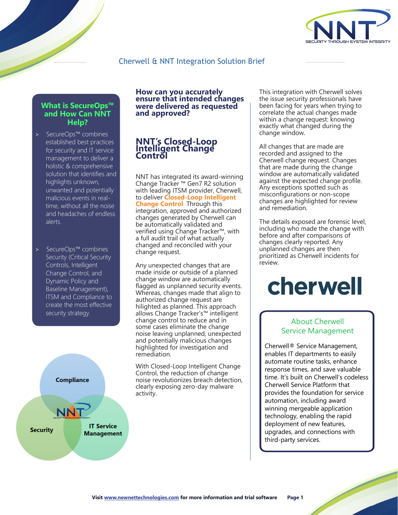

# Cherwell & NNT Integration Solution Brief

### **What is [SecureOps](https://www.newnettechnologies.com/secureops.html)™ and How Can NNT Help?**

- > [SecureOps](https://www.newnettechnologies.com/secureops.html)™ combines established best practices for security and IT service management to deliver a holistic & comprehensive solution that identifies and highlights unknown, unwanted and potentially malicious events in realtime, without all the noise and headaches of endless alerts.
- > [SecureOps](https://www.newnettechnologies.com/secureops.html)™ combines Security (Critical Security Controls, Intelligent Change Control, and Dynamic Policy and Baseline Management), ITSM and Compliance to create the most effective security strategy.



### **How can you accurately ensure that intended changes were delivered as requested and approved?**

#### **Int NNT ' s Closed-Loop Contr ellig ol ent Change**

NNT has integrated its award-winning [Change](https://www.newnettechnologies.com/change-tracker-gen-7.html) Tracker ™ Gen7 R2 solution with leading ITSM provider, [Cherwell](https://www.newnettechnologies.com/cherwell.html), to deliver **Closed-Loop Intelligent Change Control**. Through this integration, approved and authorized changes generated by Cherwell can be automatically validated and verified using [Change Tracker™](https://www.newnettechnologies.com/change-tracker-gen-7.html), with a full audit trail of what actually changed and reconciled with your change request.

Any unexpected changes that are made inside or outside of a planned change window are automatically flagged as unplanned security events. Whereas, changes made that align to authorized change request are hilighted as planned. This approach allows [Change Tracker's™](https://www.newnettechnologies.com/change-tracker-gen-7.html) intelligent change control to reduce and in some cases eliminate the change noise leaving unplanned, unexpected and potentially malicious changes highlighted for investigation and remediation.

[With Closed-Loop Intelligent Change](https://www.newnettechnologies.com/closed-loop-change-control.html) Control, the reduction of change noise revolutionizes [breach detection](https://www.newnettechnologies.com/breach-detection.html), clearly exposing zero-day malware activity.

This integration with Cherwell solves the issue security professionals have been facing for years when trying to correlate the actual changes made within a change request: knowing exactly what changed during the change window.

All changes that are made are recorded and assigned to the Cherwell change request. Changes that are made during the change window are automatically validated against the expected change profile. Any exceptions spotted such as misconfigurations or non-scope changes are highlighted for review and remediation.

The details exposed are forensic level, including who made the change with before and after comparisons of changes clearly reported. Any unplanned changes are then prioritized as Cherwell incidents for review.

# cherwell

### About Cherwell Service Management

Cherwell® Service Management, enables IT departments to easily automate routine tasks, enhance response times, and save valuable [time. It's built on Cherwell's codeless](https://www.cherwell.com/)  Cherwell Service Platform that provides the foundation for service automation, including award winning mergeable application technology, enabling the rapid deployment of new features, upgrades, and connections with third-party services.